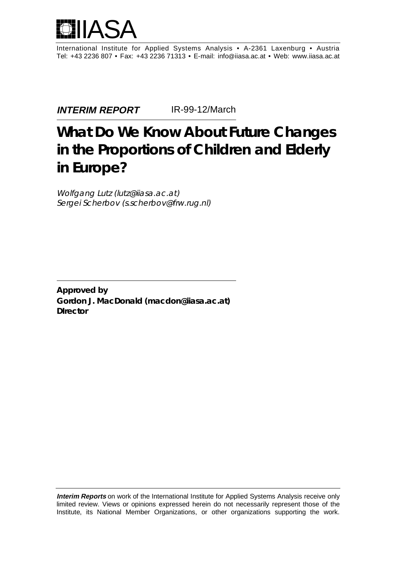

International Institute for Applied Systems Analysis • A-2361 Laxenburg • Austria Tel: +43 2236 807 • Fax: +43 2236 71313 • E-mail: info@iiasa.ac.at • Web: www.iiasa.ac.at

**INTERIM REPORT** IR-99-12/March

# **What Do We Know About Future Changes in the Proportions of Children and Elderly in Europe?**

Wolfgang Lutz (lutz@iiasa.ac.at) Sergei Scherbov (s.scherbov@frw.rug.nl)

**Approved by Gordon J. MacDonald (macdon@iiasa.ac.at) DIrector**

**Interim Reports** on work of the International Institute for Applied Systems Analysis receive only limited review. Views or opinions expressed herein do not necessarily represent those of the Institute, its National Member Organizations, or other organizations supporting the work.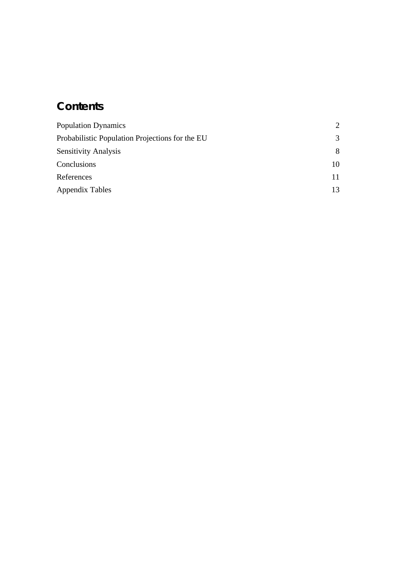## **Contents**

| <b>Population Dynamics</b>                      | $\mathcal{D}_{\cdot}$ |
|-------------------------------------------------|-----------------------|
| Probabilistic Population Projections for the EU | 3                     |
| <b>Sensitivity Analysis</b>                     | 8                     |
| Conclusions                                     | 10                    |
| References                                      | 11                    |
| Appendix Tables                                 | 13                    |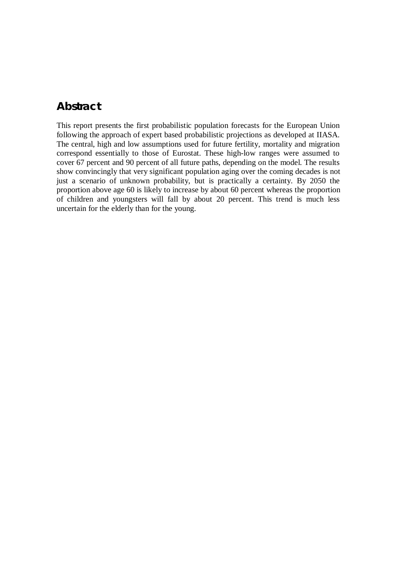#### **Abstract**

This report presents the first probabilistic population forecasts for the European Union following the approach of expert based probabilistic projections as developed at IIASA. The central, high and low assumptions used for future fertility, mortality and migration correspond essentially to those of Eurostat. These high-low ranges were assumed to cover 67 percent and 90 percent of all future paths, depending on the model. The results show convincingly that very significant population aging over the coming decades is not just a scenario of unknown probability, but is practically a certainty. By 2050 the proportion above age 60 is likely to increase by about 60 percent whereas the proportion of children and youngsters will fall by about 20 percent. This trend is much less uncertain for the elderly than for the young.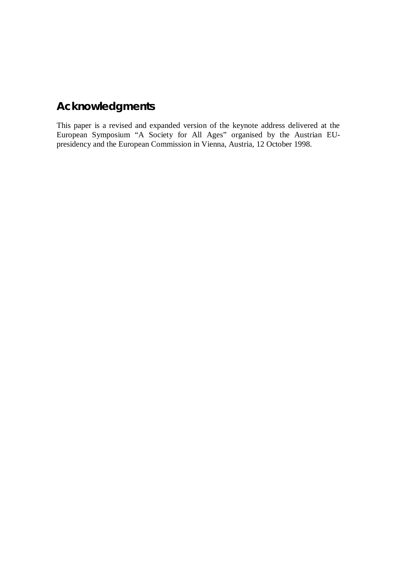### **Acknowledgments**

This paper is a revised and expanded version of the keynote address delivered at the European Symposium "A Society for All Ages" organised by the Austrian EUpresidency and the European Commission in Vienna, Austria, 12 October 1998.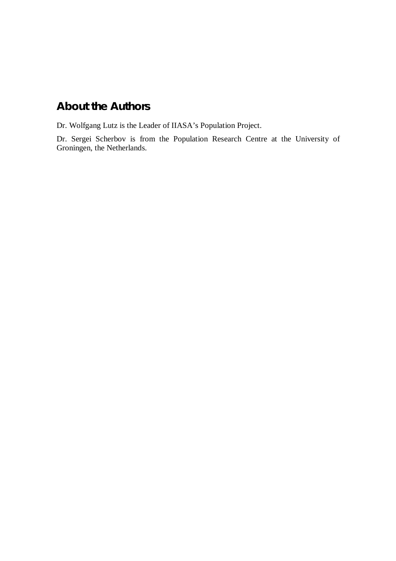### **About the Authors**

Dr. Wolfgang Lutz is the Leader of IIASA's Population Project.

Dr. Sergei Scherbov is from the Population Research Centre at the University of Groningen, the Netherlands.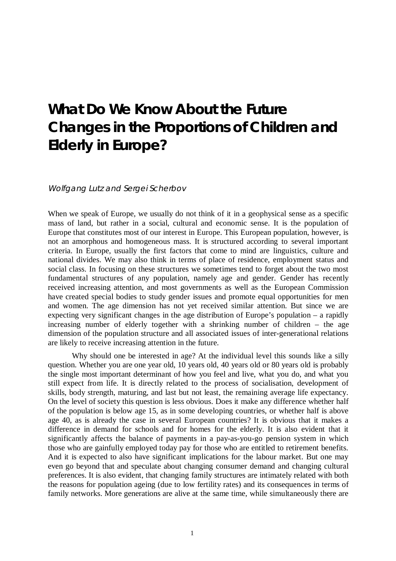## **What Do We Know About the Future Changes in the Proportions of Children and Elderly in Europe?**

#### Wolfgang Lutz and Sergei Scherbov

When we speak of Europe, we usually do not think of it in a geophysical sense as a specific mass of land, but rather in a social, cultural and economic sense. It is the population of Europe that constitutes most of our interest in Europe. This European population, however, is not an amorphous and homogeneous mass. It is structured according to several important criteria. In Europe, usually the first factors that come to mind are linguistics, culture and national divides. We may also think in terms of place of residence, employment status and social class. In focusing on these structures we sometimes tend to forget about the two most fundamental structures of any population, namely age and gender. Gender has recently received increasing attention, and most governments as well as the European Commission have created special bodies to study gender issues and promote equal opportunities for men and women. The age dimension has not yet received similar attention. But since we are expecting very significant changes in the age distribution of Europe's population – a rapidly increasing number of elderly together with a shrinking number of children – the age dimension of the population structure and all associated issues of inter-generational relations are likely to receive increasing attention in the future.

Why should one be interested in age? At the individual level this sounds like a silly question. Whether you are one year old, 10 years old, 40 years old or 80 years old is probably the single most important determinant of how you feel and live, what you do, and what you still expect from life. It is directly related to the process of socialisation, development of skills, body strength, maturing, and last but not least, the remaining average life expectancy. On the level of society this question is less obvious. Does it make any difference whether half of the population is below age 15, as in some developing countries, or whether half is above age 40, as is already the case in several European countries? It is obvious that it makes a difference in demand for schools and for homes for the elderly. It is also evident that it significantly affects the balance of payments in a pay-as-you-go pension system in which those who are gainfully employed today pay for those who are entitled to retirement benefits. And it is expected to also have significant implications for the labour market. But one may even go beyond that and speculate about changing consumer demand and changing cultural preferences. It is also evident, that changing family structures are intimately related with both the reasons for population ageing (due to low fertility rates) and its consequences in terms of family networks. More generations are alive at the same time, while simultaneously there are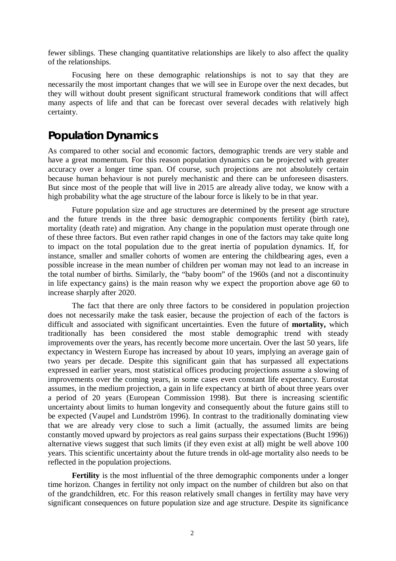fewer siblings. These changing quantitative relationships are likely to also affect the quality of the relationships.

Focusing here on these demographic relationships is not to say that they are necessarily the most important changes that we will see in Europe over the next decades, but they will without doubt present significant structural framework conditions that will affect many aspects of life and that can be forecast over several decades with relatively high certainty.

#### **Population Dynamics**

As compared to other social and economic factors, demographic trends are very stable and have a great momentum. For this reason population dynamics can be projected with greater accuracy over a longer time span. Of course, such projections are not absolutely certain because human behaviour is not purely mechanistic and there can be unforeseen disasters. But since most of the people that will live in 2015 are already alive today, we know with a high probability what the age structure of the labour force is likely to be in that year.

Future population size and age structures are determined by the present age structure and the future trends in the three basic demographic components fertility (birth rate), mortality (death rate) and migration. Any change in the population must operate through one of these three factors. But even rather rapid changes in one of the factors may take quite long to impact on the total population due to the great inertia of population dynamics. If, for instance, smaller and smaller cohorts of women are entering the childbearing ages, even a possible increase in the mean number of children per woman may not lead to an increase in the total number of births. Similarly, the "baby boom" of the 1960s (and not a discontinuity in life expectancy gains) is the main reason why we expect the proportion above age 60 to increase sharply after 2020.

The fact that there are only three factors to be considered in population projection does not necessarily make the task easier, because the projection of each of the factors is difficult and associated with significant uncertainties. Even the future of **mortality,** which traditionally has been considered the most stable demographic trend with steady improvements over the years, has recently become more uncertain. Over the last 50 years, life expectancy in Western Europe has increased by about 10 years, implying an average gain of two years per decade. Despite this significant gain that has surpassed all expectations expressed in earlier years, most statistical offices producing projections assume a slowing of improvements over the coming years, in some cases even constant life expectancy. Eurostat assumes, in the medium projection, a gain in life expectancy at birth of about three years over a period of 20 years (European Commission 1998). But there is increasing scientific uncertainty about limits to human longevity and consequently about the future gains still to be expected (Vaupel and Lundström 1996). In contrast to the traditionally dominating view that we are already very close to such a limit (actually, the assumed limits are being constantly moved upward by projectors as real gains surpass their expectations (Bucht 1996)) alternative views suggest that such limits (if they even exist at all) might be well above 100 years. This scientific uncertainty about the future trends in old-age mortality also needs to be reflected in the population projections.

**Fertility** is the most influential of the three demographic components under a longer time horizon. Changes in fertility not only impact on the number of children but also on that of the grandchildren, etc. For this reason relatively small changes in fertility may have very significant consequences on future population size and age structure. Despite its significance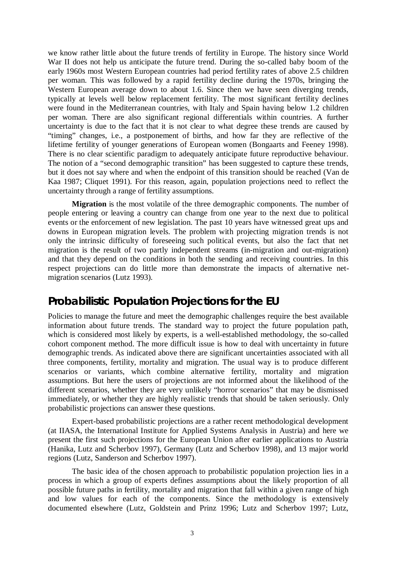we know rather little about the future trends of fertility in Europe. The history since World War II does not help us anticipate the future trend. During the so-called baby boom of the early 1960s most Western European countries had period fertility rates of above 2.5 children per woman. This was followed by a rapid fertility decline during the 1970s, bringing the Western European average down to about 1.6. Since then we have seen diverging trends, typically at levels well below replacement fertility. The most significant fertility declines were found in the Mediterranean countries, with Italy and Spain having below 1.2 children per woman. There are also significant regional differentials within countries. A further uncertainty is due to the fact that it is not clear to what degree these trends are caused by "timing" changes, i.e., a postponement of births, and how far they are reflective of the lifetime fertility of younger generations of European women (Bongaarts and Feeney 1998). There is no clear scientific paradigm to adequately anticipate future reproductive behaviour. The notion of a "second demographic transition" has been suggested to capture these trends, but it does not say where and when the endpoint of this transition should be reached (Van de Kaa 1987; Cliquet 1991). For this reason, again, population projections need to reflect the uncertainty through a range of fertility assumptions.

**Migration** is the most volatile of the three demographic components. The number of people entering or leaving a country can change from one year to the next due to political events or the enforcement of new legislation. The past 10 years have witnessed great ups and downs in European migration levels. The problem with projecting migration trends is not only the intrinsic difficulty of foreseeing such political events, but also the fact that net migration is the result of two partly independent streams (in-migration and out-migration) and that they depend on the conditions in both the sending and receiving countries. In this respect projections can do little more than demonstrate the impacts of alternative netmigration scenarios (Lutz 1993).

### **Probabilistic Population Projections for the EU**

Policies to manage the future and meet the demographic challenges require the best available information about future trends. The standard way to project the future population path, which is considered most likely by experts, is a well-established methodology, the so-called cohort component method. The more difficult issue is how to deal with uncertainty in future demographic trends. As indicated above there are significant uncertainties associated with all three components, fertility, mortality and migration. The usual way is to produce different scenarios or variants, which combine alternative fertility, mortality and migration assumptions. But here the users of projections are not informed about the likelihood of the different scenarios, whether they are very unlikely "horror scenarios" that may be dismissed immediately, or whether they are highly realistic trends that should be taken seriously. Only probabilistic projections can answer these questions.

Expert-based probabilistic projections are a rather recent methodological development (at IIASA, the International Institute for Applied Systems Analysis in Austria) and here we present the first such projections for the European Union after earlier applications to Austria (Hanika, Lutz and Scherbov 1997), Germany (Lutz and Scherbov 1998), and 13 major world regions (Lutz, Sanderson and Scherbov 1997).

The basic idea of the chosen approach to probabilistic population projection lies in a process in which a group of experts defines assumptions about the likely proportion of all possible future paths in fertility, mortality and migration that fall within a given range of high and low values for each of the components. Since the methodology is extensively documented elsewhere (Lutz, Goldstein and Prinz 1996; Lutz and Scherbov 1997; Lutz,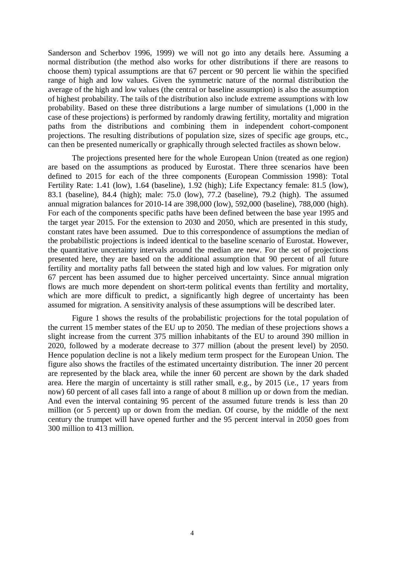Sanderson and Scherbov 1996, 1999) we will not go into any details here. Assuming a normal distribution (the method also works for other distributions if there are reasons to choose them) typical assumptions are that 67 percent or 90 percent lie within the specified range of high and low values. Given the symmetric nature of the normal distribution the average of the high and low values (the central or baseline assumption) is also the assumption of highest probability. The tails of the distribution also include extreme assumptions with low probability. Based on these three distributions a large number of simulations (1,000 in the case of these projections) is performed by randomly drawing fertility, mortality and migration paths from the distributions and combining them in independent cohort-component projections. The resulting distributions of population size, sizes of specific age groups, etc., can then be presented numerically or graphically through selected fractiles as shown below.

The projections presented here for the whole European Union (treated as one region) are based on the assumptions as produced by Eurostat. There three scenarios have been defined to 2015 for each of the three components (European Commission 1998): Total Fertility Rate: 1.41 (low), 1.64 (baseline), 1.92 (high); Life Expectancy female: 81.5 (low), 83.1 (baseline), 84.4 (high); male: 75.0 (low), 77.2 (baseline), 79.2 (high). The assumed annual migration balances for 2010-14 are 398,000 (low), 592,000 (baseline), 788,000 (high). For each of the components specific paths have been defined between the base year 1995 and the target year 2015. For the extension to 2030 and 2050, which are presented in this study, constant rates have been assumed. Due to this correspondence of assumptions the median of the probabilistic projections is indeed identical to the baseline scenario of Eurostat. However, the quantitative uncertainty intervals around the median are new. For the set of projections presented here, they are based on the additional assumption that 90 percent of all future fertility and mortality paths fall between the stated high and low values. For migration only 67 percent has been assumed due to higher perceived uncertainty. Since annual migration flows are much more dependent on short-term political events than fertility and mortality, which are more difficult to predict, a significantly high degree of uncertainty has been assumed for migration. A sensitivity analysis of these assumptions will be described later.

Figure 1 shows the results of the probabilistic projections for the total population of the current 15 member states of the EU up to 2050. The median of these projections shows a slight increase from the current 375 million inhabitants of the EU to around 390 million in 2020, followed by a moderate decrease to 377 million (about the present level) by 2050. Hence population decline is not a likely medium term prospect for the European Union. The figure also shows the fractiles of the estimated uncertainty distribution. The inner 20 percent are represented by the black area, while the inner 60 percent are shown by the dark shaded area. Here the margin of uncertainty is still rather small, e.g., by 2015 (i.e., 17 years from now) 60 percent of all cases fall into a range of about 8 million up or down from the median. And even the interval containing 95 percent of the assumed future trends is less than 20 million (or 5 percent) up or down from the median. Of course, by the middle of the next century the trumpet will have opened further and the 95 percent interval in 2050 goes from 300 million to 413 million.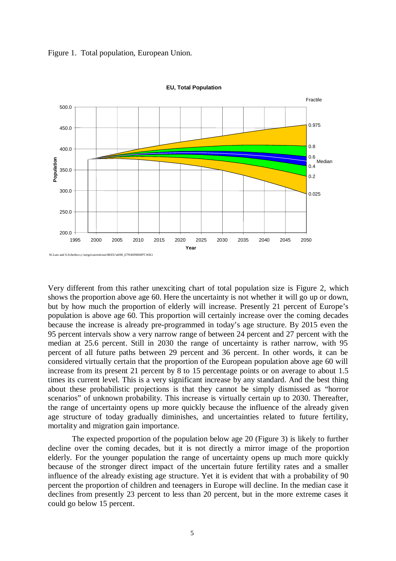



**EU, Total Population**

Very different from this rather unexciting chart of total population size is Figure 2, which shows the proportion above age 60. Here the uncertainty is not whether it will go up or down, but by how much the proportion of elderly will increase. Presently 21 percent of Europe's population is above age 60. This proportion will certainly increase over the coming decades because the increase is already pre-programmed in today's age structure. By 2015 even the 95 percent intervals show a very narrow range of between 24 percent and 27 percent with the median at 25.6 percent. Still in 2030 the range of uncertainty is rather narrow, with 95 percent of all future paths between 29 percent and 36 percent. In other words, it can be considered virtually certain that the proportion of the European population above age 60 will increase from its present 21 percent by 8 to 15 percentage points or on average to about 1.5 times its current level. This is a very significant increase by any standard. And the best thing about these probabilistic projections is that they cannot be simply dismissed as "horror scenarios" of unknown probability. This increase is virtually certain up to 2030. Thereafter, the range of uncertainty opens up more quickly because the influence of the already given age structure of today gradually diminishes, and uncertainties related to future fertility, mortality and migration gain importance.

The expected proportion of the population below age 20 (Figure 3) is likely to further decline over the coming decades, but it is not directly a mirror image of the proportion elderly. For the younger population the range of uncertainty opens up much more quickly because of the stronger direct impact of the uncertain future fertility rates and a smaller influence of the already existing age structure. Yet it is evident that with a probability of 90 percent the proportion of children and teenagers in Europe will decline. In the median case it declines from presently 23 percent to less than 20 percent, but in the more extreme cases it could go below 15 percent.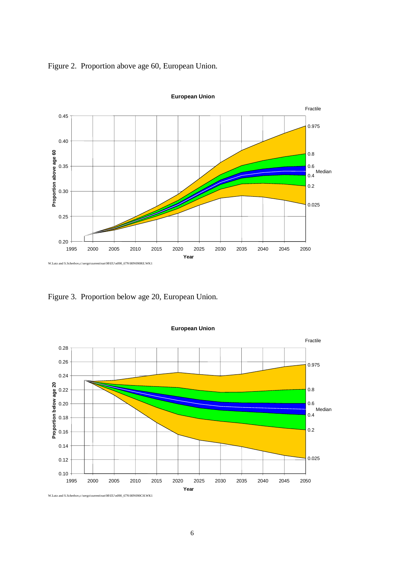Figure 2. Proportion above age 60, European Union.



**European Union**

Figure 3. Proportion below age 20, European Union.



**European Union**

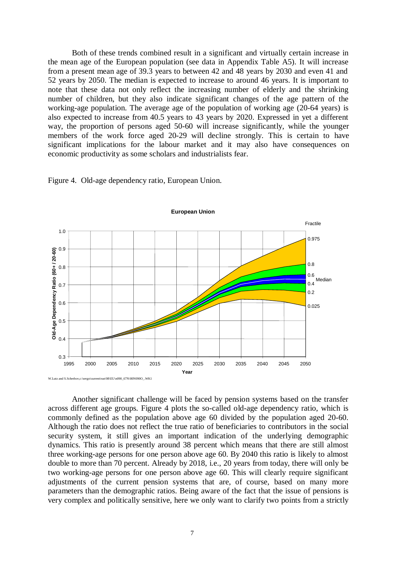Both of these trends combined result in a significant and virtually certain increase in the mean age of the European population (see data in Appendix Table A5). It will increase from a present mean age of 39.3 years to between 42 and 48 years by 2030 and even 41 and 52 years by 2050. The median is expected to increase to around 46 years. It is important to note that these data not only reflect the increasing number of elderly and the shrinking number of children, but they also indicate significant changes of the age pattern of the working-age population. The average age of the population of working age (20-64 years) is also expected to increase from 40.5 years to 43 years by 2020. Expressed in yet a different way, the proportion of persons aged 50-60 will increase significantly, while the younger members of the work force aged 20-29 will decline strongly. This is certain to have significant implications for the labour market and it may also have consequences on economic productivity as some scholars and industrialists fear.

Figure 4. Old-age dependency ratio, European Union.



Another significant challenge will be faced by pension systems based on the transfer across different age groups. Figure 4 plots the so-called old-age dependency ratio, which is commonly defined as the population above age 60 divided by the population aged 20-60. Although the ratio does not reflect the true ratio of beneficiaries to contributors in the social security system, it still gives an important indication of the underlying demographic dynamics. This ratio is presently around 38 percent which means that there are still almost three working-age persons for one person above age 60. By 2040 this ratio is likely to almost double to more than 70 percent. Already by 2018, i.e., 20 years from today, there will only be two working-age persons for one person above age 60. This will clearly require significant adjustments of the current pension systems that are, of course, based on many more parameters than the demographic ratios. Being aware of the fact that the issue of pensions is very complex and politically sensitive, here we only want to clarify two points from a strictly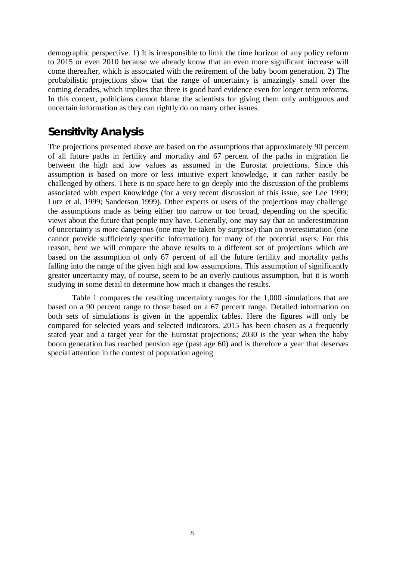demographic perspective. 1) It is irresponsible to limit the time horizon of any policy reform to 2015 or even 2010 because we already know that an even more significant increase will come thereafter, which is associated with the retirement of the baby boom generation. 2) The probabilistic projections show that the range of uncertainty is amazingly small over the coming decades, which implies that there is good hard evidence even for longer term reforms. In this context, politicians cannot blame the scientists for giving them only ambiguous and uncertain information as they can rightly do on many other issues.

#### **Sensitivity Analysis**

The projections presented above are based on the assumptions that approximately 90 percent of all future paths in fertility and mortality and 67 percent of the paths in migration lie between the high and low values as assumed in the Eurostat projections. Since this assumption is based on more or less intuitive expert knowledge, it can rather easily be challenged by others. There is no space here to go deeply into the discussion of the problems associated with expert knowledge (for a very recent discussion of this issue, see Lee 1999; Lutz et al. 1999; Sanderson 1999). Other experts or users of the projections may challenge the assumptions made as being either too narrow or too broad, depending on the specific views about the future that people may have. Generally, one may say that an underestimation of uncertainty is more dangerous (one may be taken by surprise) than an overestimation (one cannot provide sufficiently specific information) for many of the potential users. For this reason, here we will compare the above results to a different set of projections which are based on the assumption of only 67 percent of all the future fertility and mortality paths falling into the range of the given high and low assumptions. This assumption of significantly greater uncertainty may, of course, seem to be an overly cautious assumption, but it is worth studying in some detail to determine how much it changes the results.

Table 1 compares the resulting uncertainty ranges for the 1,000 simulations that are based on a 90 percent range to those based on a 67 percent range. Detailed information on both sets of simulations is given in the appendix tables. Here the figures will only be compared for selected years and selected indicators. 2015 has been chosen as a frequently stated year and a target year for the Eurostat projections; 2030 is the year when the baby boom generation has reached pension age (past age 60) and is therefore a year that deserves special attention in the context of population ageing.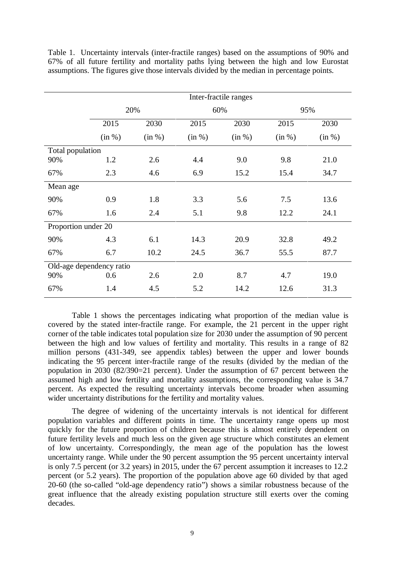|                          | Inter-fractile ranges |        |              |        |        |        |  |  |  |  |  |  |
|--------------------------|-----------------------|--------|--------------|--------|--------|--------|--|--|--|--|--|--|
|                          |                       | 20%    | 60%          |        | 95%    |        |  |  |  |  |  |  |
|                          | 2015                  | 2030   | 2015<br>2030 |        | 2015   | 2030   |  |  |  |  |  |  |
|                          | (in %)                | (in %) | (in %)       | (in %) | (in %) | (in %) |  |  |  |  |  |  |
| Total population         |                       |        |              |        |        |        |  |  |  |  |  |  |
| 90%                      | 1.2                   | 2.6    | 4.4          | 9.0    | 9.8    | 21.0   |  |  |  |  |  |  |
| 67%                      | 2.3                   | 4.6    | 6.9          | 15.2   | 15.4   | 34.7   |  |  |  |  |  |  |
| Mean age                 |                       |        |              |        |        |        |  |  |  |  |  |  |
| 90%                      | 0.9                   | 1.8    | 3.3          | 5.6    | 7.5    | 13.6   |  |  |  |  |  |  |
| 67%                      | 1.6                   | 2.4    | 5.1          | 9.8    | 12.2   | 24.1   |  |  |  |  |  |  |
| Proportion under 20      |                       |        |              |        |        |        |  |  |  |  |  |  |
| 90%                      | 4.3                   | 6.1    | 14.3         | 20.9   | 32.8   | 49.2   |  |  |  |  |  |  |
| 67%                      | 6.7                   | 10.2   | 24.5         | 36.7   | 55.5   | 87.7   |  |  |  |  |  |  |
| Old-age dependency ratio |                       |        |              |        |        |        |  |  |  |  |  |  |
| 90%                      | 0.6                   | 2.6    | 2.0          | 8.7    | 4.7    | 19.0   |  |  |  |  |  |  |
| 67%                      | 1.4                   | 4.5    | 5.2          | 14.2   | 12.6   | 31.3   |  |  |  |  |  |  |

Table 1. Uncertainty intervals (inter-fractile ranges) based on the assumptions of 90% and 67% of all future fertility and mortality paths lying between the high and low Eurostat assumptions. The figures give those intervals divided by the median in percentage points.

Table 1 shows the percentages indicating what proportion of the median value is covered by the stated inter-fractile range. For example, the 21 percent in the upper right corner of the table indicates total population size for 2030 under the assumption of 90 percent between the high and low values of fertility and mortality. This results in a range of 82 million persons (431-349, see appendix tables) between the upper and lower bounds indicating the 95 percent inter-fractile range of the results (divided by the median of the population in 2030 (82/390=21 percent). Under the assumption of 67 percent between the assumed high and low fertility and mortality assumptions, the corresponding value is 34.7 percent. As expected the resulting uncertainty intervals become broader when assuming wider uncertainty distributions for the fertility and mortality values.

The degree of widening of the uncertainty intervals is not identical for different population variables and different points in time. The uncertainty range opens up most quickly for the future proportion of children because this is almost entirely dependent on future fertility levels and much less on the given age structure which constitutes an element of low uncertainty. Correspondingly, the mean age of the population has the lowest uncertainty range. While under the 90 percent assumption the 95 percent uncertainty interval is only 7.5 percent (or 3.2 years) in 2015, under the 67 percent assumption it increases to 12.2 percent (or 5.2 years). The proportion of the population above age 60 divided by that aged 20-60 (the so-called "old-age dependency ratio") shows a similar robustness because of the great influence that the already existing population structure still exerts over the coming decades.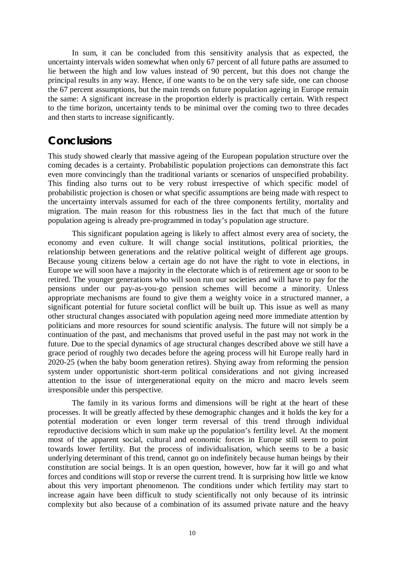In sum, it can be concluded from this sensitivity analysis that as expected, the uncertainty intervals widen somewhat when only 67 percent of all future paths are assumed to lie between the high and low values instead of 90 percent, but this does not change the principal results in any way. Hence, if one wants to be on the very safe side, one can choose the 67 percent assumptions, but the main trends on future population ageing in Europe remain the same: A significant increase in the proportion elderly is practically certain. With respect to the time horizon, uncertainty tends to be minimal over the coming two to three decades and then starts to increase significantly.

#### **Conclusions**

This study showed clearly that massive ageing of the European population structure over the coming decades is a certainty. Probabilistic population projections can demonstrate this fact even more convincingly than the traditional variants or scenarios of unspecified probability. This finding also turns out to be very robust irrespective of which specific model of probabilistic projection is chosen or what specific assumptions are being made with respect to the uncertainty intervals assumed for each of the three components fertility, mortality and migration. The main reason for this robustness lies in the fact that much of the future population ageing is already pre-programmed in today's population age structure.

This significant population ageing is likely to affect almost every area of society, the economy and even culture. It will change social institutions, political priorities, the relationship between generations and the relative political weight of different age groups. Because young citizens below a certain age do not have the right to vote in elections, in Europe we will soon have a majority in the electorate which is of retirement age or soon to be retired. The younger generations who will soon run our societies and will have to pay for the pensions under our pay-as-you-go pension schemes will become a minority. Unless appropriate mechanisms are found to give them a weighty voice in a structured manner, a significant potential for future societal conflict will be built up. This issue as well as many other structural changes associated with population ageing need more immediate attention by politicians and more resources for sound scientific analysis. The future will not simply be a continuation of the past, and mechanisms that proved useful in the past may not work in the future. Due to the special dynamics of age structural changes described above we still have a grace period of roughly two decades before the ageing process will hit Europe really hard in 2020-25 (when the baby boom generation retires). Shying away from reforming the pension system under opportunistic short-term political considerations and not giving increased attention to the issue of intergenerational equity on the micro and macro levels seem irresponsible under this perspective.

The family in its various forms and dimensions will be right at the heart of these processes. It will be greatly affected by these demographic changes and it holds the key for a potential moderation or even longer term reversal of this trend through individual reproductive decisions which in sum make up the population's fertility level. At the moment most of the apparent social, cultural and economic forces in Europe still seem to point towards lower fertility. But the process of individualisation, which seems to be a basic underlying determinant of this trend, cannot go on indefinitely because human beings by their constitution are social beings. It is an open question, however, how far it will go and what forces and conditions will stop or reverse the current trend. It is surprising how little we know about this very important phenomenon. The conditions under which fertility may start to increase again have been difficult to study scientifically not only because of its intrinsic complexity but also because of a combination of its assumed private nature and the heavy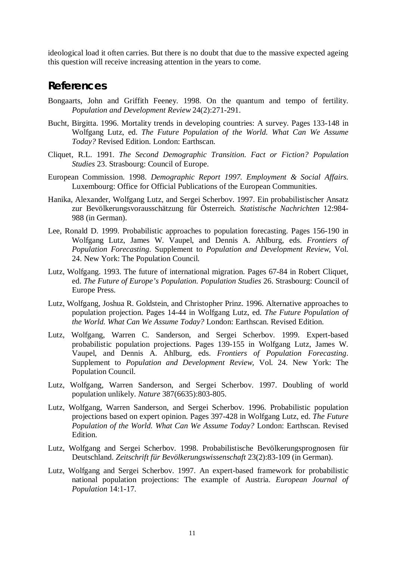ideological load it often carries. But there is no doubt that due to the massive expected ageing this question will receive increasing attention in the years to come.

#### **References**

- Bongaarts, John and Griffith Feeney. 1998. On the quantum and tempo of fertility. *Population and Development Review* 24(2):271-291.
- Bucht, Birgitta. 1996. Mortality trends in developing countries: A survey. Pages 133-148 in Wolfgang Lutz, ed. *The Future Population of the World. What Can We Assume Today?* Revised Edition. London: Earthscan.
- Cliquet, R.L. 1991. *The Second Demographic Transition. Fact or Fiction? Population Studies* 23. Strasbourg: Council of Europe.
- European Commission. 1998. *Demographic Report 1997. Employment & Social Affairs.* Luxembourg: Office for Official Publications of the European Communities.
- Hanika, Alexander, Wolfgang Lutz, and Sergei Scherbov. 1997. Ein probabilistischer Ansatz zur Bevölkerungsvorausschätzung für Österreich. *Statistische Nachrichten* 12:984- 988 (in German).
- Lee, Ronald D. 1999. Probabilistic approaches to population forecasting. Pages 156-190 in Wolfgang Lutz, James W. Vaupel, and Dennis A. Ahlburg, eds. *Frontiers of Population Forecasting*. Supplement to *Population and Development Review,* Vol. 24. New York: The Population Council.
- Lutz, Wolfgang. 1993. The future of international migration. Pages 67-84 in Robert Cliquet, ed. *The Future of Europe's Population. Population Studies* 26. Strasbourg: Council of Europe Press.
- Lutz, Wolfgang, Joshua R. Goldstein, and Christopher Prinz. 1996. Alternative approaches to population projection. Pages 14-44 in Wolfgang Lutz, ed. *The Future Population of the World. What Can We Assume Today?* London: Earthscan. Revised Edition.
- Lutz, Wolfgang, Warren C. Sanderson, and Sergei Scherbov. 1999. Expert-based probabilistic population projections. Pages 139-155 in Wolfgang Lutz, James W. Vaupel, and Dennis A. Ahlburg, eds. *Frontiers of Population Forecasting*. Supplement to *Population and Development Review,* Vol. 24. New York: The Population Council.
- Lutz, Wolfgang, Warren Sanderson, and Sergei Scherbov. 1997. Doubling of world population unlikely. *Nature* 387(6635):803-805.
- Lutz, Wolfgang, Warren Sanderson, and Sergei Scherbov. 1996. Probabilistic population projections based on expert opinion. Pages 397-428 in Wolfgang Lutz, ed. *The Future Population of the World. What Can We Assume Today?* London: Earthscan. Revised Edition.
- Lutz, Wolfgang and Sergei Scherbov. 1998. Probabilistische Bevölkerungsprognosen für Deutschland. *Zeitschrift für Bevölkerungswissenschaft* 23(2):83-109 (in German).
- Lutz, Wolfgang and Sergei Scherbov. 1997. An expert-based framework for probabilistic national population projections: The example of Austria. *European Journal of Population* 14:1-17.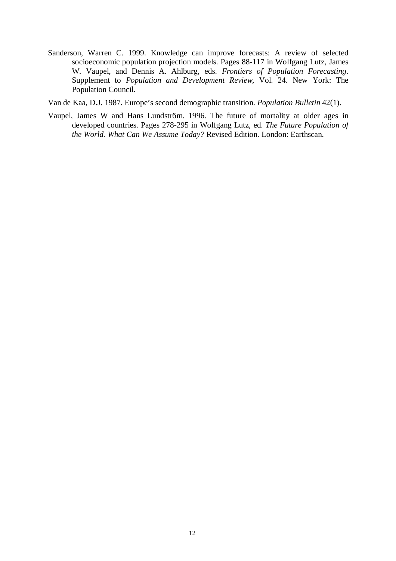- Sanderson, Warren C. 1999. Knowledge can improve forecasts: A review of selected socioeconomic population projection models. Pages 88-117 in Wolfgang Lutz, James W. Vaupel, and Dennis A. Ahlburg, eds. *Frontiers of Population Forecasting*. Supplement to *Population and Development Review,* Vol. 24. New York: The Population Council.
- Van de Kaa, D.J. 1987. Europe's second demographic transition. *Population Bulletin* 42(1).
- Vaupel, James W and Hans Lundström. 1996. The future of mortality at older ages in developed countries. Pages 278-295 in Wolfgang Lutz, ed. *The Future Population of the World. What Can We Assume Today?* Revised Edition. London: Earthscan.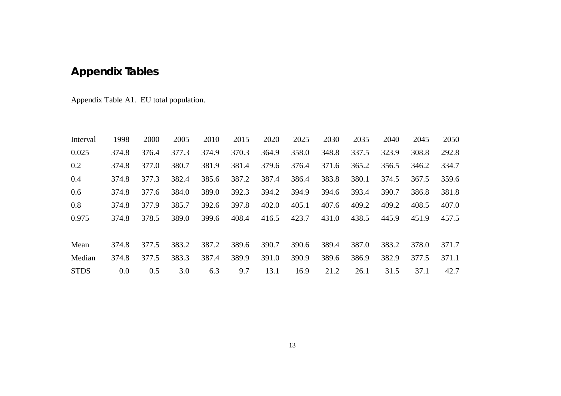## **Appendix Tables**

Appendix Table A1. EU total population.

| Interval    | 1998  | 2000  | 2005  | 2010  | 2015  | 2020  | 2025  | 2030  | 2035  | 2040  | 2045  | 2050  |
|-------------|-------|-------|-------|-------|-------|-------|-------|-------|-------|-------|-------|-------|
| 0.025       | 374.8 | 376.4 | 377.3 | 374.9 | 370.3 | 364.9 | 358.0 | 348.8 | 337.5 | 323.9 | 308.8 | 292.8 |
| 0.2         | 374.8 | 377.0 | 380.7 | 381.9 | 381.4 | 379.6 | 376.4 | 371.6 | 365.2 | 356.5 | 346.2 | 334.7 |
| 0.4         | 374.8 | 377.3 | 382.4 | 385.6 | 387.2 | 387.4 | 386.4 | 383.8 | 380.1 | 374.5 | 367.5 | 359.6 |
| 0.6         | 374.8 | 377.6 | 384.0 | 389.0 | 392.3 | 394.2 | 394.9 | 394.6 | 393.4 | 390.7 | 386.8 | 381.8 |
| 0.8         | 374.8 | 377.9 | 385.7 | 392.6 | 397.8 | 402.0 | 405.1 | 407.6 | 409.2 | 409.2 | 408.5 | 407.0 |
| 0.975       | 374.8 | 378.5 | 389.0 | 399.6 | 408.4 | 416.5 | 423.7 | 431.0 | 438.5 | 445.9 | 451.9 | 457.5 |
|             |       |       |       |       |       |       |       |       |       |       |       |       |
| Mean        | 374.8 | 377.5 | 383.2 | 387.2 | 389.6 | 390.7 | 390.6 | 389.4 | 387.0 | 383.2 | 378.0 | 371.7 |
| Median      | 374.8 | 377.5 | 383.3 | 387.4 | 389.9 | 391.0 | 390.9 | 389.6 | 386.9 | 382.9 | 377.5 | 371.1 |
| <b>STDS</b> | 0.0   | 0.5   | 3.0   | 6.3   | 9.7   | 13.1  | 16.9  | 21.2  | 26.1  | 31.5  | 37.1  | 42.7  |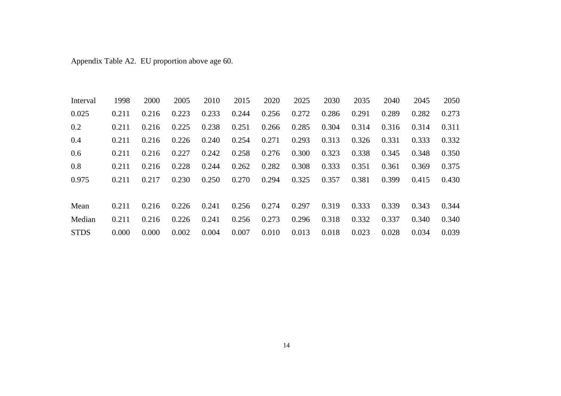Appendix Table A2. EU proportion above age 60.

| Interval    | 1998  | 2000  | 2005  | 2010  | 2015  | 2020  | 2025  | 2030  | 2035  | 2040  | 2045  | 2050  |
|-------------|-------|-------|-------|-------|-------|-------|-------|-------|-------|-------|-------|-------|
| 0.025       | 0.211 | 0.216 | 0.223 | 0.233 | 0.244 | 0.256 | 0.272 | 0.286 | 0.291 | 0.289 | 0.282 | 0.273 |
| 0.2         | 0.211 | 0.216 | 0.225 | 0.238 | 0.251 | 0.266 | 0.285 | 0.304 | 0.314 | 0.316 | 0.314 | 0.311 |
| 0.4         | 0.211 | 0.216 | 0.226 | 0.240 | 0.254 | 0.271 | 0.293 | 0.313 | 0.326 | 0.331 | 0.333 | 0.332 |
| 0.6         | 0.211 | 0.216 | 0.227 | 0.242 | 0.258 | 0.276 | 0.300 | 0.323 | 0.338 | 0.345 | 0.348 | 0.350 |
| 0.8         | 0.211 | 0.216 | 0.228 | 0.244 | 0.262 | 0.282 | 0.308 | 0.333 | 0.351 | 0.361 | 0.369 | 0.375 |
| 0.975       | 0.211 | 0.217 | 0.230 | 0.250 | 0.270 | 0.294 | 0.325 | 0.357 | 0.381 | 0.399 | 0.415 | 0.430 |
|             |       |       |       |       |       |       |       |       |       |       |       |       |
| Mean        | 0.211 | 0.216 | 0.226 | 0.241 | 0.256 | 0.274 | 0.297 | 0.319 | 0.333 | 0.339 | 0.343 | 0.344 |
| Median      | 0.211 | 0.216 | 0.226 | 0.241 | 0.256 | 0.273 | 0.296 | 0.318 | 0.332 | 0.337 | 0.340 | 0.340 |
| <b>STDS</b> | 0.000 | 0.000 | 0.002 | 0.004 | 0.007 | 0.010 | 0.013 | 0.018 | 0.023 | 0.028 | 0.034 | 0.039 |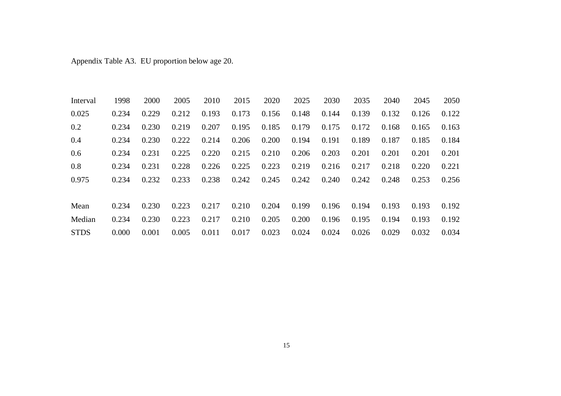Appendix Table A3. EU proportion below age 20.

| Interval    | 1998  | 2000  | 2005  | 2010  | 2015  | 2020  | 2025  | 2030  | 2035  | 2040  | 2045  | 2050  |
|-------------|-------|-------|-------|-------|-------|-------|-------|-------|-------|-------|-------|-------|
| 0.025       | 0.234 | 0.229 | 0.212 | 0.193 | 0.173 | 0.156 | 0.148 | 0.144 | 0.139 | 0.132 | 0.126 | 0.122 |
| 0.2         | 0.234 | 0.230 | 0.219 | 0.207 | 0.195 | 0.185 | 0.179 | 0.175 | 0.172 | 0.168 | 0.165 | 0.163 |
| 0.4         | 0.234 | 0.230 | 0.222 | 0.214 | 0.206 | 0.200 | 0.194 | 0.191 | 0.189 | 0.187 | 0.185 | 0.184 |
| 0.6         | 0.234 | 0.231 | 0.225 | 0.220 | 0.215 | 0.210 | 0.206 | 0.203 | 0.201 | 0.201 | 0.201 | 0.201 |
| 0.8         | 0.234 | 0.231 | 0.228 | 0.226 | 0.225 | 0.223 | 0.219 | 0.216 | 0.217 | 0.218 | 0.220 | 0.221 |
| 0.975       | 0.234 | 0.232 | 0.233 | 0.238 | 0.242 | 0.245 | 0.242 | 0.240 | 0.242 | 0.248 | 0.253 | 0.256 |
|             |       |       |       |       |       |       |       |       |       |       |       |       |
| Mean        | 0.234 | 0.230 | 0.223 | 0.217 | 0.210 | 0.204 | 0.199 | 0.196 | 0.194 | 0.193 | 0.193 | 0.192 |
| Median      | 0.234 | 0.230 | 0.223 | 0.217 | 0.210 | 0.205 | 0.200 | 0.196 | 0.195 | 0.194 | 0.193 | 0.192 |
| <b>STDS</b> | 0.000 | 0.001 | 0.005 | 0.011 | 0.017 | 0.023 | 0.024 | 0.024 | 0.026 | 0.029 | 0.032 | 0.034 |

15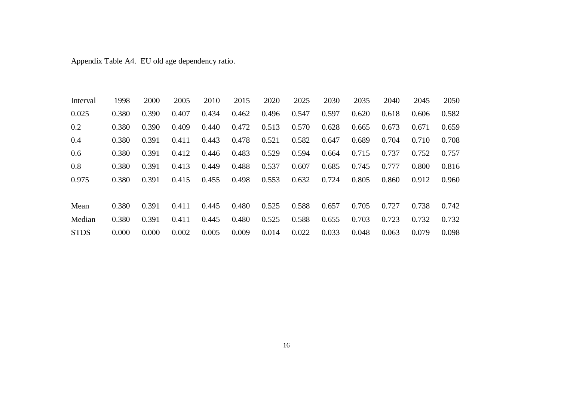Appendix Table A4. EU old age dependency ratio.

| Interval    | 1998  | 2000  | 2005  | 2010  | 2015  | 2020  | 2025  | 2030  | 2035  | 2040  | 2045  | 2050  |
|-------------|-------|-------|-------|-------|-------|-------|-------|-------|-------|-------|-------|-------|
| 0.025       | 0.380 | 0.390 | 0.407 | 0.434 | 0.462 | 0.496 | 0.547 | 0.597 | 0.620 | 0.618 | 0.606 | 0.582 |
| 0.2         | 0.380 | 0.390 | 0.409 | 0.440 | 0.472 | 0.513 | 0.570 | 0.628 | 0.665 | 0.673 | 0.671 | 0.659 |
| 0.4         | 0.380 | 0.391 | 0.411 | 0.443 | 0.478 | 0.521 | 0.582 | 0.647 | 0.689 | 0.704 | 0.710 | 0.708 |
| 0.6         | 0.380 | 0.391 | 0.412 | 0.446 | 0.483 | 0.529 | 0.594 | 0.664 | 0.715 | 0.737 | 0.752 | 0.757 |
| 0.8         | 0.380 | 0.391 | 0.413 | 0.449 | 0.488 | 0.537 | 0.607 | 0.685 | 0.745 | 0.777 | 0.800 | 0.816 |
| 0.975       | 0.380 | 0.391 | 0.415 | 0.455 | 0.498 | 0.553 | 0.632 | 0.724 | 0.805 | 0.860 | 0.912 | 0.960 |
|             |       |       |       |       |       |       |       |       |       |       |       |       |
| Mean        | 0.380 | 0.391 | 0.411 | 0.445 | 0.480 | 0.525 | 0.588 | 0.657 | 0.705 | 0.727 | 0.738 | 0.742 |
| Median      | 0.380 | 0.391 | 0.411 | 0.445 | 0.480 | 0.525 | 0.588 | 0.655 | 0.703 | 0.723 | 0.732 | 0.732 |
| <b>STDS</b> | 0.000 | 0.000 | 0.002 | 0.005 | 0.009 | 0.014 | 0.022 | 0.033 | 0.048 | 0.063 | 0.079 | 0.098 |

16